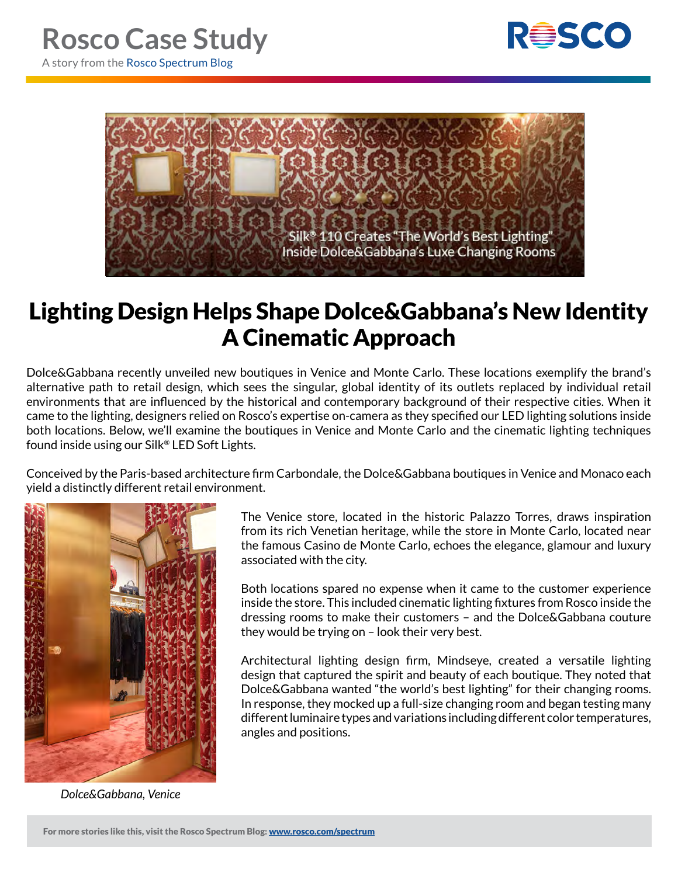



## Lighting Design Helps Shape Dolce&Gabbana's New Identity A Cinematic Approach

Dolce&Gabbana recently unveiled new boutiques in Venice and Monte Carlo. These locations exemplify the brand's alternative path to retail design, which sees the singular, global identity of its outlets replaced by individual retail environments that are influenced by the historical and contemporary background of their respective cities. When it came to the lighting, designers relied on Rosco's expertise on-camera as they specified our LED lighting solutions inside both locations. Below, we'll examine the boutiques in Venice and Monte Carlo and the cinematic lighting techniques found inside using our Silk® LED Soft Lights.

Conceived by the Paris-based architecture firm Carbondale, the Dolce&Gabbana boutiques in Venice and Monaco each yield a distinctly different retail environment.



*Dolce&Gabbana, Venice*

The Venice store, located in the historic Palazzo Torres, draws inspiration from its rich Venetian heritage, while the store in Monte Carlo, located near the famous Casino de Monte Carlo, echoes the elegance, glamour and luxury associated with the city.

Both locations spared no expense when it came to the customer experience inside the store. This included cinematic lighting fixtures from Rosco inside the dressing rooms to make their customers – and the Dolce&Gabbana couture they would be trying on – look their very best.

Architectural lighting design firm, Mindseye, created a versatile lighting design that captured the spirit and beauty of each boutique. They noted that Dolce&Gabbana wanted "the world's best lighting" for their changing rooms. In response, they mocked up a full-size changing room and began testing many different luminaire types and variations including different color temperatures, angles and positions.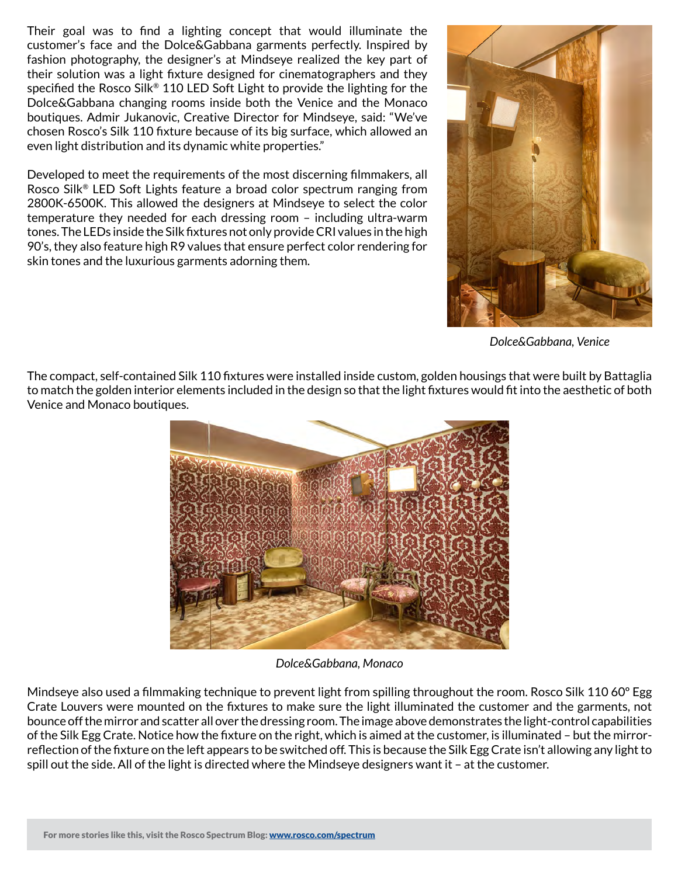Their goal was to find a lighting concept that would illuminate the customer's face and the Dolce&Gabbana garments perfectly. Inspired by fashion photography, the designer's at Mindseye realized the key part of their solution was a light fixture designed for cinematographers and they specified the Rosco Silk® 110 LED Soft Light to provide the lighting for the Dolce&Gabbana changing rooms inside both the Venice and the Monaco boutiques. Admir Jukanovic, Creative Director for Mindseye, said: "We've chosen Rosco's Silk 110 fixture because of its big surface, which allowed an even light distribution and its dynamic white properties."

Developed to meet the requirements of the most discerning filmmakers, all Rosco Silk® LED Soft Lights feature a broad color spectrum ranging from 2800K-6500K. This allowed the designers at Mindseye to select the color temperature they needed for each dressing room – including ultra-warm tones. The LEDs inside the Silk fixtures not only provide CRI values in the high 90's, they also feature high R9 values that ensure perfect color rendering for skin tones and the luxurious garments adorning them.



*Dolce&Gabbana, Venice*

The compact, self-contained Silk 110 fixtures were installed inside custom, golden housings that were built by Battaglia to match the golden interior elements included in the design so that the light fixtures would fit into the aesthetic of both Venice and Monaco boutiques.



*Dolce&Gabbana, Monaco*

Mindseye also used a filmmaking technique to prevent light from spilling throughout the room. Rosco Silk 110 60° Egg Crate Louvers were mounted on the fixtures to make sure the light illuminated the customer and the garments, not bounce off the mirror and scatter all over the dressing room. The image above demonstrates the light-control capabilities of the Silk Egg Crate. Notice how the fixture on the right, which is aimed at the customer, is illuminated – but the mirrorreflection of the fixture on the left appears to be switched off. This is because the Silk Egg Crate isn't allowing any light to spill out the side. All of the light is directed where the Mindseye designers want it – at the customer.